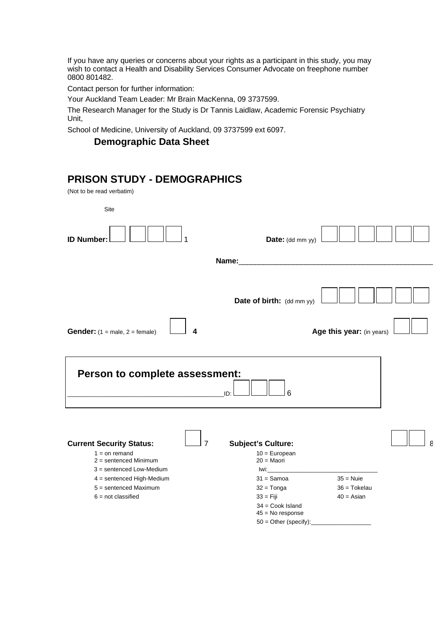If you have any queries or concerns about your rights as a participant in this study, you may wish to contact a Health and Disability Services Consumer Advocate on freephone number 0800 801482.

Contact person for further information:

Your Auckland Team Leader: Mr Brain MacKenna, 09 3737599.

The Research Manager for the Study is Dr Tannis Laidlaw, Academic Forensic Psychiatry Unit,

School of Medicine, University of Auckland, 09 3737599 ext 6097.

### **Demographic Data Sheet**

## **PRISON STUDY - DEMOGRAPHICS**

(Not to be read verbatim)

| Site                                                                                                                                                                                                          |                                                                                                                     |                                                    |   |
|---------------------------------------------------------------------------------------------------------------------------------------------------------------------------------------------------------------|---------------------------------------------------------------------------------------------------------------------|----------------------------------------------------|---|
| <b>ID Number:</b>                                                                                                                                                                                             | Date: (dd mm yy)                                                                                                    |                                                    |   |
|                                                                                                                                                                                                               | Name:                                                                                                               |                                                    |   |
|                                                                                                                                                                                                               | Date of birth: (dd mm yy)                                                                                           |                                                    |   |
| <b>Gender:</b> $(1 = male, 2 = female)$<br>4                                                                                                                                                                  |                                                                                                                     | Age this year: (in years)                          |   |
| Person to complete assessment:                                                                                                                                                                                | 6<br>ID:                                                                                                            |                                                    |   |
| <b>Current Security Status:</b><br>$\overline{7}$<br>$1 =$ on remand<br>$2 =$ sentenced Minimum<br>$3 =$ sentenced Low-Medium<br>4 = sentenced High-Medium<br>$5 =$ sentenced Maximum<br>$6 = not classified$ | <b>Subject's Culture:</b><br>$10 = European$<br>$20 = Maori$<br>lwi:<br>$31 =$ Samoa<br>$32 = Tonga$<br>$33 =$ Fiji | $35 =$ Nuie<br>$36 = \text{Token}$<br>$40 = Asian$ | 8 |
|                                                                                                                                                                                                               | $34 = \text{Cook Island}$<br>$45 = No$ response<br>$50 =$ Other (specify):                                          |                                                    |   |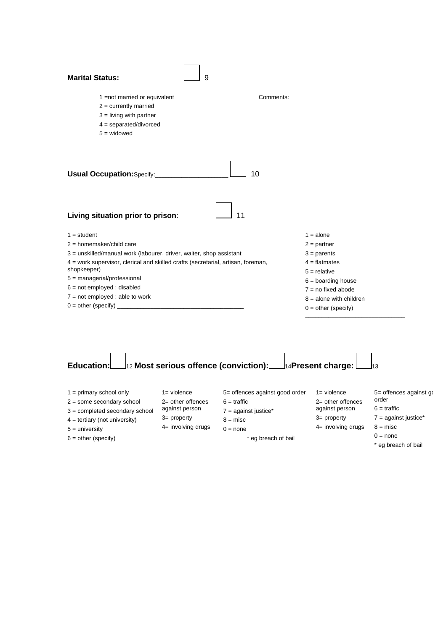| <b>Marital Status:</b>                                                                                                             | 9 |                           |  |  |  |
|------------------------------------------------------------------------------------------------------------------------------------|---|---------------------------|--|--|--|
| 1 = not married or equivalent<br>$2 =$ currently married<br>$3 =$ living with partner<br>$4 =$ separated/divorced<br>$5 =$ widowed |   | Comments:                 |  |  |  |
| Usual Occupation: Specify:___________<br>10                                                                                        |   |                           |  |  |  |
| 11<br>Living situation prior to prison:                                                                                            |   |                           |  |  |  |
| $1 = student$                                                                                                                      |   | $1 = alone$               |  |  |  |
| $2 =$ homemaker/child care                                                                                                         |   | $2 =$ partner             |  |  |  |
| 3 = unskilled/manual work (labourer, driver, waiter, shop assistant                                                                |   | $3 =$ parents             |  |  |  |
| 4 = work supervisor, clerical and skilled crafts (secretarial, artisan, foreman,                                                   |   | $4 =$ flatmates           |  |  |  |
| shopkeeper)                                                                                                                        |   | $5 =$ relative            |  |  |  |
| $5 =$ managerial/professional                                                                                                      |   | $6 =$ boarding house      |  |  |  |
| $6 = not employed: disabled$                                                                                                       |   | $7 = no fixed abode$      |  |  |  |
| $7 = not employed: able to work$<br>$0 = other (specific)$                                                                         |   | $8 =$ alone with children |  |  |  |
|                                                                                                                                    |   | $0 =$ other (specify)     |  |  |  |

|  | Education: $\Box$ 12 Most serious offence (conviction): $\Box$ 14Present charge: $\Box$ 13 |  |  |
|--|--------------------------------------------------------------------------------------------|--|--|

| $1 =$ primary school only<br>$2 =$ some secondary school<br>$3 =$ completed secondary school<br>$4 =$ tertiary (not university)<br>$5 =$ university | 1= violence<br>$2=$ other offences<br>against person<br>$3=$ property<br>$4 =$ involving drugs | 5= offences against good order<br>$6 = \text{traffic}$<br>$7 =$ against justice*<br>$8 =$ misc<br>$0 = none$ | 1= violence<br>$2=$ other offences<br>against person<br>$3=$ property<br>$4=$ involving drugs | 5= offences against go<br>order<br>$6 = \text{traffic}$<br>$7 =$ against justice*<br>$8 =$ misc |
|-----------------------------------------------------------------------------------------------------------------------------------------------------|------------------------------------------------------------------------------------------------|--------------------------------------------------------------------------------------------------------------|-----------------------------------------------------------------------------------------------|-------------------------------------------------------------------------------------------------|
| $6 = other (specific)$                                                                                                                              |                                                                                                | * eg breach of bail                                                                                          |                                                                                               | $0 = none$<br>* eg breach of bail                                                               |